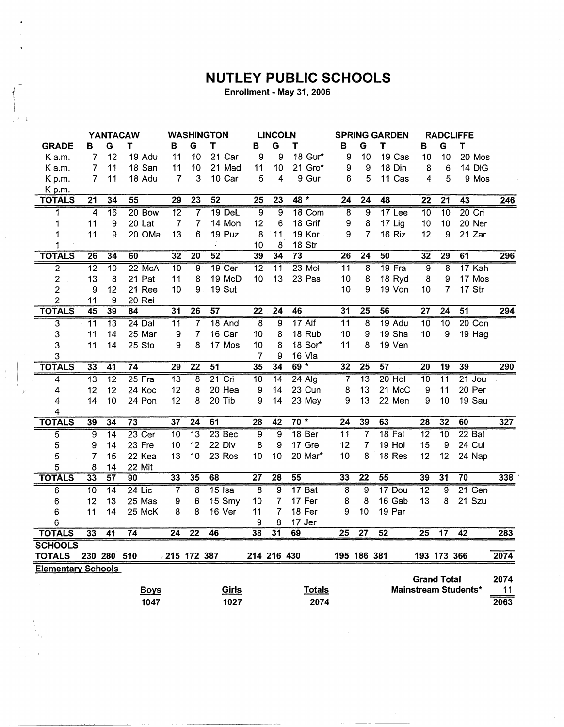## **NUTLEY PUBLIC SCHOOLS**

Enrollment - May 31, 2006

|                           |                 |                  | YANTACAW        |                 |                 | <b>WASHINGTON</b> |                 | <b>LINCOLN</b>  |                   | <b>SPRING GARDEN</b>    |                 |                 | <b>RADCLIFFE</b> |                    |                             |      |
|---------------------------|-----------------|------------------|-----------------|-----------------|-----------------|-------------------|-----------------|-----------------|-------------------|-------------------------|-----------------|-----------------|------------------|--------------------|-----------------------------|------|
| <b>GRADE</b>              | в               | G                | Τ               | в               | G               | Т                 | в               | G               | Т                 | в                       | ${\bf G}$       | T               | B                | G                  | T                           |      |
| K a.m.                    | 7               | 12               | 19 Adu          | 11              | 10              | 21 Car            | 9               | 9               | 18 Gur*           | 9                       | 10              | 19 Cas          | 10               | 10                 | 20 Mos                      |      |
| K a.m.                    | 7               | 11               | 18 San          | 11              | 10              | 21 Mad            | 11              | 10              | 21 Gro*           | 9                       | 9               | 18 Din          | 8                | 6                  | 14 DiG                      |      |
| Kp.m.                     | $\overline{7}$  | 11               | 18 Adu          | $\overline{7}$  | 3               | 10 Car            | 5               | 4               | 9 Gur             | 6                       | 5               | 11 Cas          | 4                | 5                  | 9 Mos                       |      |
| K p.m.                    |                 |                  |                 |                 |                 |                   |                 |                 |                   |                         |                 |                 |                  |                    |                             |      |
| <b>TOTALS</b>             | $\overline{21}$ | $\overline{34}$  | $\overline{55}$ | 29              | $\overline{23}$ | 52                | $\overline{25}$ | 23              | $48 *$            | $\overline{24}$         | $\overline{24}$ | 48              | $\overline{22}$  | $\overline{21}$    | 43                          | 246  |
| 1                         | $\overline{4}$  | $\overline{16}$  | 20 Bow          | $\overline{12}$ | 7               | 19 DeL            | $\overline{9}$  | $\overline{9}$  | 18 Com            | $\overline{8}$          | $\overline{9}$  | 17 Lee          | $\overline{10}$  | $\overline{10}$    | $20$ Cri                    |      |
| 1                         | 11              | $\boldsymbol{9}$ | 20 Lat          | $\overline{7}$  | $\overline{7}$  | 14 Mon            | 12              | 6               | 18 Grif           | $\boldsymbol{9}$        | 8               | 17 Lig          | 10               | 10                 | 20 Ner                      |      |
| 1                         | 11              | 9                | 20 OMa          | 13              | 6               | 19 Puz            | 8               | 11              | 19 Kor            | 9                       | 7               | 16 Riz          | 12               | 9                  | 21 Zar                      |      |
| 1                         |                 |                  |                 |                 |                 |                   | 10              | 8               | 18 Str            |                         |                 |                 |                  |                    |                             |      |
| <b>TOTALS</b>             | $\overline{26}$ | 34               | 60              | 32              | $\overline{20}$ | 52                | 39              | 34              | $\overline{73}$   | $\overline{26}$         | $\overline{24}$ | 50              | 32               | $\overline{29}$    | 61                          | 296  |
| $\overline{2}$            | $\overline{12}$ | $\overline{10}$  | $22$ McA        | $\overline{10}$ | $\overline{9}$  | $19$ Cer          | $\overline{12}$ | $\overline{11}$ | $23$ Mol          | $\overline{11}$         | 8               | 19 Fra          | $\overline{9}$   | 8                  | 17 Kah                      |      |
| $\overline{c}$            | 13              | 8                | 21 Pat          | 11              | 8               | 19 McD            | 10              | 13              | 23 Pas            | 10                      | 8               | 18 Ryd          | 8                | 9                  | 17 Mos                      |      |
| $\overline{2}$            | 9               | 12               | 21 Ree          | 10              | 9               | 19 Sut            |                 |                 |                   | 10                      | 9               | 19 Von          | 10               | $\overline{7}$     | 17 Str                      |      |
| $\overline{2}$            | 11              | 9                | 20 Rei          |                 |                 |                   |                 |                 |                   |                         |                 |                 |                  |                    |                             |      |
| <b>TOTALS</b>             | $\overline{45}$ | 39               | 84              | $\overline{31}$ | $\overline{26}$ | 57                | $\overline{22}$ | $\overline{24}$ | 46                | 31                      | $\overline{25}$ | 56              | $\overline{27}$  | $\overline{24}$    | $\overline{51}$             | 294  |
| $\overline{\mathbf{3}}$   | $\overline{11}$ | $\overline{13}$  | 24 Dal          | $\overline{11}$ | 7               | 18 And            | $\overline{8}$  | $\overline{9}$  | $17$ Alf          | $\overline{11}$         | 8               | 19 Adu          | 10               | $\overline{10}$    | $20$ Con                    |      |
| 3                         | 11              | 14               | 25 Mar          | 9               | 7               | 16 Car            | 10              | 8               | 18 Rub            | 10                      | 9               | 19 Sha          | 10               | 9                  | 19 Hag                      |      |
| 3                         | 11              | 14               | 25 Sto          | 9               | 8               | 17 Mos            | 10              | 8               | 18 Sor*           | 11                      | 8               | 19 Ven          |                  |                    |                             |      |
| 3                         |                 |                  |                 |                 |                 |                   | 7               | 9               | 16 Vla            |                         |                 |                 |                  |                    |                             |      |
| <b>TOTALS</b>             | 33              | $\overline{41}$  | $\overline{74}$ | $\overline{29}$ | $\overline{22}$ | 51                | 35              | $\overline{34}$ | $69 *$            | 32                      | $\overline{25}$ | 57              | $\overline{20}$  | $\overline{19}$    | 39                          | 290  |
| 4                         | $\overline{13}$ | $\overline{12}$  | $25$ Fra        | $\overline{13}$ | $\overline{8}$  | $21$ Cri          | $\overline{10}$ | $\overline{14}$ | $24$ Alg          | 7                       | $\overline{13}$ | $20$ Hol        | $\overline{10}$  | $\overline{11}$    | $21$ Jou                    |      |
| 4                         | 12              | 12               | 24 Koc          | 12              | 8               | 20 Hea            | 9               | 14              | 23 Cun            | 8                       | 13              | 21 McC          | $\boldsymbol{9}$ | 11                 | 20 Per                      |      |
| 4                         | 14              | 10               | 24 Pon          | 12              | 8               | 20 Tib            | 9               | 14              | 23 Mey            | 9                       | 13              | 22 Men          | 9                | 10                 | 19 Sau                      |      |
| 4                         |                 |                  |                 |                 |                 |                   |                 |                 |                   |                         |                 |                 |                  |                    |                             |      |
| <b>TOTALS</b>             | 39              | $\overline{34}$  | $\overline{73}$ | $\overline{37}$ | $\overline{24}$ | 61                | $\overline{28}$ | $\overline{42}$ | $70*$             | $\overline{24}$         | 39              | 63              | $\overline{28}$  | 32                 | 60                          | 327  |
| 5                         | $\overline{9}$  | $\overline{14}$  | 23 Cer          | $\overline{10}$ | $\overline{13}$ | $23$ Bec          | $\overline{9}$  | $\overline{9}$  | 18 <sub>Ber</sub> | $\overline{11}$         | $\overline{7}$  | $18$ Fal        | $\overline{12}$  | $\overline{10}$    | $22$ Bal                    |      |
| 5                         | 9               | 14               | 23 Fre          | 10              | 12              | 22 Div            | 8               | 9               | 17 Gre            | 12                      | 7               | 19 Hol          | 15               | 9                  | 24 Cul                      |      |
| 5                         | 7               | 15               | 22 Kea          | 13              | 10              | 23 Ros            | 10              | 10              | 20 Mar*           | 10                      | 8               | 18 Res          | 12               | 12                 | 24 Nap                      |      |
| 5                         | 8               | 14               | 22 Mit          |                 |                 |                   |                 |                 |                   |                         |                 |                 |                  |                    |                             |      |
| <b>TOTALS</b>             | 33              | 57               | 90              | 33              | 35              | 68                | $\overline{27}$ | $\overline{28}$ | 55                | 33                      | $\overline{22}$ | 55              | 39               | 31                 | $\overline{70}$             | 338  |
| 6                         | $\overline{10}$ | $\overline{14}$  | $24$ Lic        | 7               | 8               | $15$ Isa          | $\overline{8}$  | $\overline{9}$  | 17 Bat            | $\overline{\mathbf{8}}$ | $\overline{9}$  | 17 Dou          | $\overline{12}$  | $\overline{9}$     | $21$ Gen                    |      |
| 6                         | 12              | 13               | 25 Mas          | 9               | 6               | 15 Smy            | 10              | 7               | 17 Fer            | 8                       | 8               | 16 Gab          | 13               | 8                  | 21 Szu                      |      |
| 6                         | 11              | 14               | 25 McK          | 8               | 8               | 16 Ver            | 11              | 7               | 18 Fer            | 9                       | 10              | 19 Par          |                  |                    |                             |      |
| 6                         |                 |                  |                 |                 |                 |                   | 9               | 8               | 17 Jer            |                         |                 |                 |                  |                    |                             |      |
| <b>TOTALS</b>             | 33              | $\overline{41}$  | $\overline{74}$ | $\overline{24}$ | $\overline{22}$ | 46                | $\overline{38}$ | $\overline{31}$ | 69                | $\overline{25}$         | $\overline{27}$ | $\overline{52}$ | $\overline{25}$  | $\overline{17}$    | $\overline{42}$             | 283  |
| <b>SCHOOLS</b>            |                 |                  |                 |                 |                 |                   |                 |                 |                   |                         |                 |                 |                  |                    |                             |      |
| <b>TOTALS</b>             |                 | 230 280 510      |                 |                 | 215 172 387     |                   | 214 216 430     |                 |                   |                         | 195 186 381     |                 |                  | 193 173 366        |                             | 2074 |
| <b>Elementary Schools</b> |                 |                  |                 |                 |                 |                   |                 |                 |                   |                         |                 |                 |                  |                    |                             |      |
|                           |                 |                  |                 |                 |                 |                   |                 |                 |                   |                         |                 |                 |                  | <b>Grand Total</b> |                             | 2074 |
|                           |                 |                  | <b>Boys</b>     |                 |                 | Girls             |                 |                 | <b>Totals</b>     |                         |                 |                 |                  |                    | <b>Mainstream Students*</b> | 11   |
|                           |                 |                  | 1047            |                 |                 | 1027              |                 |                 | 2074              |                         |                 |                 |                  |                    |                             | 2063 |